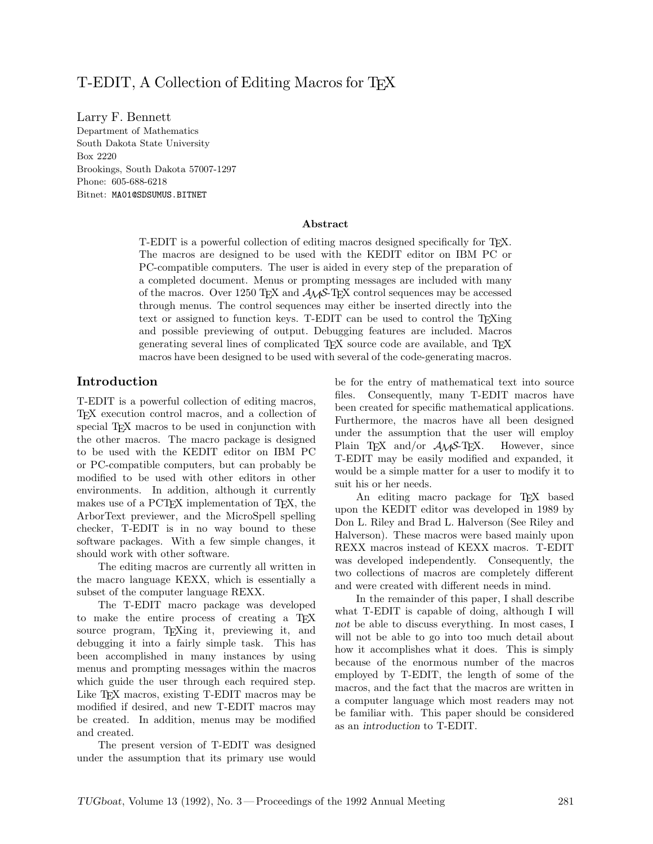# T-EDIT, A Collection of Editing Macros for T<sub>EX</sub>

Larry F. Bennett Department of Mathematics Box 2220 Brookings, South Dakota 57007-1297 Phone: 605-688-6218 Bitnet: MA01@SDSUMUS.BITNET

#### **Abstract**

T-EDIT is a powerful collection of editing macros designed specifically for TEX. The macros are designed to be used with the KEDIT editor on IBM PC or PC-compatible computers. The user is aided in every step of the preparation of a completed document. Menus or prompting messages are included with many of the macros. Over 1250 TEX and *AMS*-TEX control sequences may be accessed through menus. The control sequences may either be inserted directly into the text or assigned to function keys. T-EDIT can be used to control the T<sub>E</sub>Xing and possible previewing of output. Debugging features are included. Macros generating several lines of complicated TEX source code are available, and TEX macros have been designed to be used with several of the code-generating macros.

### **Introduction**

T-EDIT is a powerful collection of editing macros, TEX execution control macros, and a collection of special T<sub>EX</sub> macros to be used in conjunction with the other macros. The macro package is designed to be used with the KEDIT editor on IBM PC or PC-compatible computers, but can probably be modified to be used with other editors in other environments. In addition, although it currently makes use of a PCT<sub>EX</sub> implementation of T<sub>EX</sub>, the ArborText previewer, and the MicroSpell spelling checker, T-EDIT is in no way bound to these software packages. With a few simple changes, it should work with other software.

The editing macros are currently all written in the macro language KEXX, which is essentially a subset of the computer language REXX.

The T-EDIT macro package was developed to make the entire process of creating a TEX source program, TEXing it, previewing it, and debugging it into a fairly simple task. This has been accomplished in many instances by using menus and prompting messages within the macros which guide the user through each required step. Like T<sub>F</sub>X macros, existing T-EDIT macros may be modified if desired, and new T-EDIT macros may be created. In addition, menus may be modified and created.

The present version of T-EDIT was designed under the assumption that its primary use would be for the entry of mathematical text into source files. Consequently, many T-EDIT macros have been created for specific mathematical applications. Furthermore, the macros have all been designed under the assumption that the user will employ Plain T<sub>E</sub>X and/or  $A_{\mathcal{M}}S$ -T<sub>E</sub>X. However, since T-EDIT may be easily modified and expanded, it would be a simple matter for a user to modify it to suit his or her needs.

An editing macro package for T<sub>EX</sub> based upon the KEDIT editor was developed in 1989 by Don L. Riley and Brad L. Halverson (See Riley and Halverson). These macros were based mainly upon REXX macros instead of KEXX macros. T-EDIT was developed independently. Consequently, the two collections of macros are completely different and were created with different needs in mind.

In the remainder of this paper, I shall describe what T-EDIT is capable of doing, although I will *not* be able to discuss everything. In most cases, I will not be able to go into too much detail about how it accomplishes what it does. This is simply because of the enormous number of the macros employed by T-EDIT, the length of some of the macros, and the fact that the macros are written in a computer language which most readers may not be familiar with. This paper should be considered as an *introduction* to T-EDIT.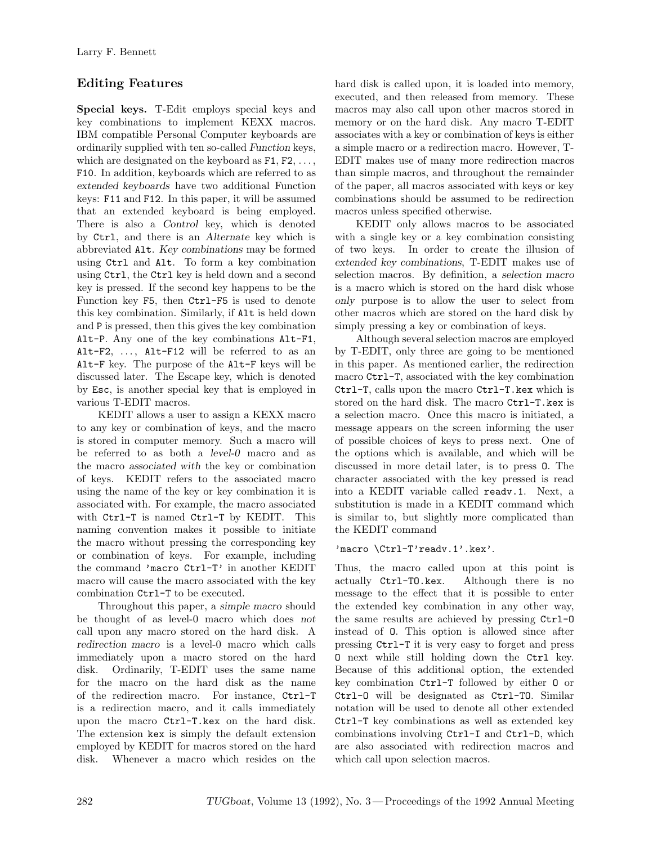# **Editing Features**

**Special keys.** T-Edit employs special keys and key combinations to implement KEXX macros. IBM compatible Personal Computer keyboards are ordinarily supplied with ten so-called *Function* keys, which are designated on the keyboard as  $F1, F2, \ldots$ , F10. In addition, keyboards which are referred to as *extended keyboards* have two additional Function keys: F11 and F12. In this paper, it will be assumed that an extended keyboard is being employed. There is also a *Control* key, which is denoted by Ctrl, and there is an *Alternate* key which is abbreviated Alt. *Key combinations* may be formed using Ctrl and Alt. To form a key combination using Ctrl, the Ctrl key is held down and a second key is pressed. If the second key happens to be the Function key F5, then Ctrl-F5 is used to denote this key combination. Similarly, if Alt is held down and P is pressed, then this gives the key combination Alt-P. Any one of the key combinations Alt-F1, Alt-F2, ... , Alt-F12 will be referred to as an Alt-F key. The purpose of the Alt-F keys will be discussed later. The Escape key, which is denoted by Esc, is another special key that is employed in various T-EDIT macros.

KEDIT allows a user to assign a KEXX macro to any key or combination of keys, and the macro is stored in computer memory. Such a macro will be referred to as both a *level-0* macro and as the macro *associated with* the key or combination of keys. KEDIT refers to the associated macro using the name of the key or key combination it is associated with. For example, the macro associated with Ctrl-T is named Ctrl-T by KEDIT. This naming convention makes it possible to initiate the macro without pressing the corresponding key or combination of keys. For example, including the command 'macro Ctrl-T' in another KEDIT macro will cause the macro associated with the key combination Ctrl-T to be executed.

Throughout this paper, a *simple macro* should be thought of as level-0 macro which does *not* call upon any macro stored on the hard disk. A *redirection macro* is a level-0 macro which calls immediately upon a macro stored on the hard disk. Ordinarily, T-EDIT uses the same name for the macro on the hard disk as the name of the redirection macro. For instance, Ctrl-T is a redirection macro, and it calls immediately upon the macro Ctrl-T.kex on the hard disk. The extension kex is simply the default extension employed by KEDIT for macros stored on the hard disk. Whenever a macro which resides on the hard disk is called upon, it is loaded into memory, executed, and then released from memory. These macros may also call upon other macros stored in memory or on the hard disk. Any macro T-EDIT associates with a key or combination of keys is either a simple macro or a redirection macro. However, T-EDIT makes use of many more redirection macros than simple macros, and throughout the remainder of the paper, all macros associated with keys or key combinations should be assumed to be redirection macros unless specified otherwise.

KEDIT only allows macros to be associated with a single key or a key combination consisting of two keys. In order to create the illusion of *extended key combinations*, T-EDIT makes use of selection macros. By definition, a *selection macro* is a macro which is stored on the hard disk whose *only* purpose is to allow the user to select from other macros which are stored on the hard disk by simply pressing a key or combination of keys.

Although several selection macros are employed by T-EDIT, only three are going to be mentioned in this paper. As mentioned earlier, the redirection macro Ctrl-T, associated with the key combination Ctrl-T, calls upon the macro Ctrl-T.kex which is stored on the hard disk. The macro Ctrl-T.kex is a selection macro. Once this macro is initiated, a message appears on the screen informing the user of possible choices of keys to press next. One of the options which is available, and which will be discussed in more detail later, is to press O. The character associated with the key pressed is read into a KEDIT variable called readv.1. Next, a substitution is made in a KEDIT command which is similar to, but slightly more complicated than the KEDIT command

### 'macro \Ctrl-T'readv.1'.kex'.

Thus, the macro called upon at this point is actually Ctrl-TO.kex. Although there is no message to the effect that it is possible to enter the extended key combination in any other way, the same results are achieved by pressing Ctrl-O instead of O. This option is allowed since after pressing Ctrl-T it is very easy to forget and press O next while still holding down the Ctrl key. Because of this additional option, the extended key combination Ctrl-T followed by either O or Ctrl-O will be designated as Ctrl-TO. Similar notation will be used to denote all other extended Ctrl-T key combinations as well as extended key combinations involving Ctrl-I and Ctrl-D, which are also associated with redirection macros and which call upon selection macros.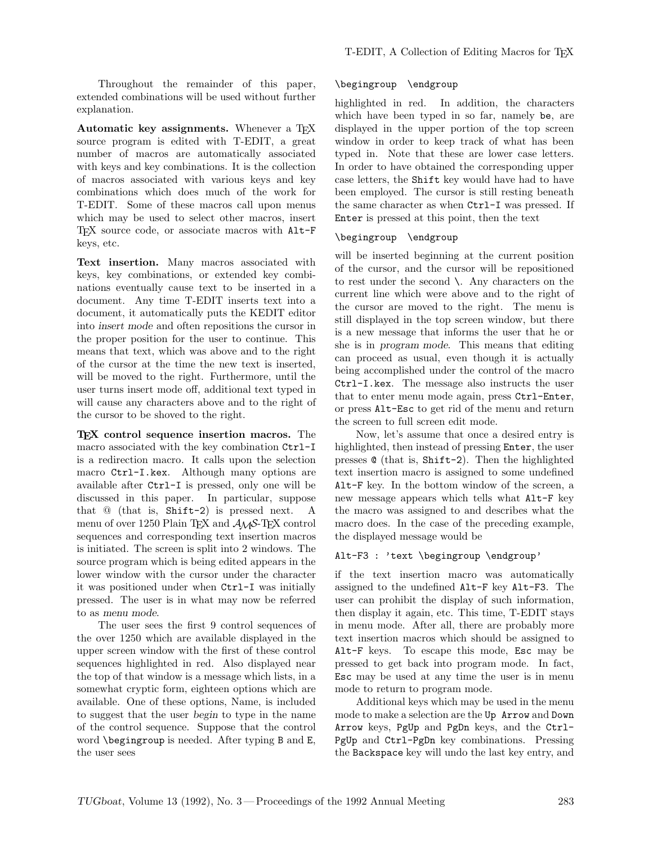Throughout the remainder of this paper, extended combinations will be used without further explanation.

**Automatic key assignments.** Whenever a T<sub>E</sub>X source program is edited with T-EDIT, a great number of macros are automatically associated with keys and key combinations. It is the collection of macros associated with various keys and key combinations which does much of the work for T-EDIT. Some of these macros call upon menus which may be used to select other macros, insert TEX source code, or associate macros with Alt-F keys, etc.

**Text insertion.** Many macros associated with keys, key combinations, or extended key combinations eventually cause text to be inserted in a document. Any time T-EDIT inserts text into a document, it automatically puts the KEDIT editor into *insert mode* and often repositions the cursor in the proper position for the user to continue. This means that text, which was above and to the right of the cursor at the time the new text is inserted, will be moved to the right. Furthermore, until the user turns insert mode off, additional text typed in will cause any characters above and to the right of the cursor to be shoved to the right.

**TEX control sequence insertion macros.** The macro associated with the key combination Ctrl-I is a redirection macro. It calls upon the selection macro Ctrl-I.kex. Although many options are available after Ctrl-I is pressed, only one will be discussed in this paper. In particular, suppose that @ (that is, Shift-2) is pressed next. A menu of over 1250 Plain T<sub>E</sub>X and  $A_{\mathcal{M}}S$ -T<sub>E</sub>X control sequences and corresponding text insertion macros is initiated. The screen is split into 2 windows. The source program which is being edited appears in the lower window with the cursor under the character it was positioned under when Ctrl-I was initially pressed. The user is in what may now be referred to as *menu mode*.

The user sees the first 9 control sequences of the over 1250 which are available displayed in the upper screen window with the first of these control sequences highlighted in red. Also displayed near the top of that window is a message which lists, in a somewhat cryptic form, eighteen options which are available. One of these options, Name, is included to suggest that the user *begin* to type in the name of the control sequence. Suppose that the control word \begingroup is needed. After typing B and E, the user sees

#### \begingroup \endgroup

highlighted in red. In addition, the characters which have been typed in so far, namely be, are displayed in the upper portion of the top screen window in order to keep track of what has been typed in. Note that these are lower case letters. In order to have obtained the corresponding upper case letters, the Shift key would have had to have been employed. The cursor is still resting beneath the same character as when Ctrl-I was pressed. If Enter is pressed at this point, then the text

#### \begingroup \endgroup

will be inserted beginning at the current position of the cursor, and the cursor will be repositioned to rest under the second \. Any characters on the current line which were above and to the right of the cursor are moved to the right. The menu is still displayed in the top screen window, but there is a new message that informs the user that he or she is in *program mode*. This means that editing can proceed as usual, even though it is actually being accomplished under the control of the macro Ctrl-I.kex. The message also instructs the user that to enter menu mode again, press Ctrl-Enter, or press Alt-Esc to get rid of the menu and return the screen to full screen edit mode.

Now, let's assume that once a desired entry is highlighted, then instead of pressing Enter, the user presses @ (that is, Shift-2). Then the highlighted text insertion macro is assigned to some undefined Alt-F key. In the bottom window of the screen, a new message appears which tells what Alt-F key the macro was assigned to and describes what the macro does. In the case of the preceding example, the displayed message would be

#### Alt-F3 : 'text \begingroup \endgroup'

if the text insertion macro was automatically assigned to the undefined Alt-F key Alt-F3. The user can prohibit the display of such information, then display it again, etc. This time, T-EDIT stays in menu mode. After all, there are probably more text insertion macros which should be assigned to Alt-F keys. To escape this mode, Esc may be pressed to get back into program mode. In fact, Esc may be used at any time the user is in menu mode to return to program mode.

Additional keys which may be used in the menu mode to make a selection are the Up Arrow and Down Arrow keys, PgUp and PgDn keys, and the Ctrl-PgUp and Ctrl-PgDn key combinations. Pressing the Backspace key will undo the last key entry, and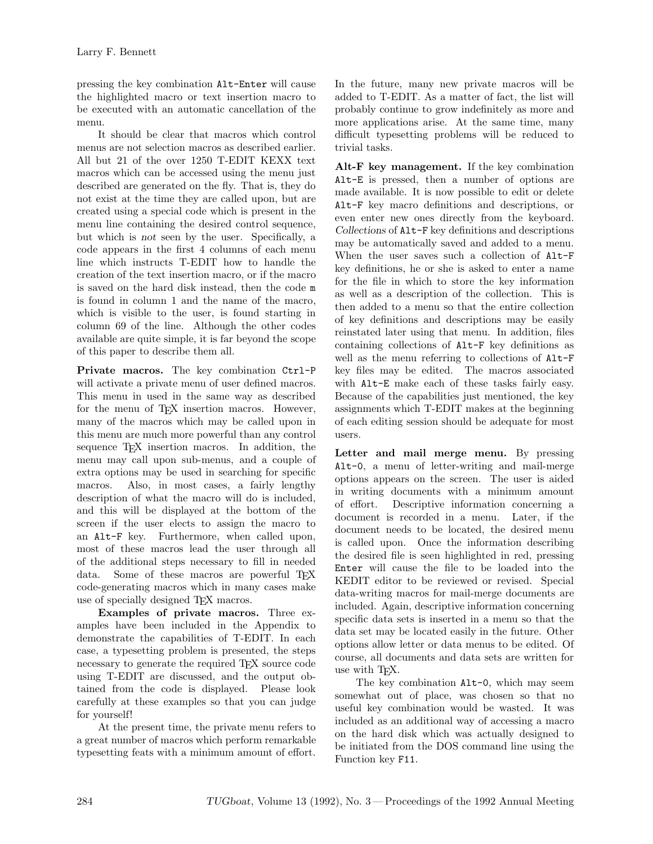pressing the key combination Alt-Enter will cause the highlighted macro or text insertion macro to be executed with an automatic cancellation of the menu.

It should be clear that macros which control menus are not selection macros as described earlier. All but 21 of the over 1250 T-EDIT KEXX text macros which can be accessed using the menu just described are generated on the fly. That is, they do not exist at the time they are called upon, but are created using a special code which is present in the menu line containing the desired control sequence, but which is *not* seen by the user. Specifically, a code appears in the first 4 columns of each menu line which instructs T-EDIT how to handle the creation of the text insertion macro, or if the macro is saved on the hard disk instead, then the code m is found in column 1 and the name of the macro, which is visible to the user, is found starting in column 69 of the line. Although the other codes available are quite simple, it is far beyond the scope of this paper to describe them all.

**Private macros.** The key combination Ctrl-P will activate a private menu of user defined macros. This menu in used in the same way as described for the menu of T<sub>E</sub>X insertion macros. However, many of the macros which may be called upon in this menu are much more powerful than any control sequence TEX insertion macros. In addition, the menu may call upon sub-menus, and a couple of extra options may be used in searching for specific macros. Also, in most cases, a fairly lengthy description of what the macro will do is included, and this will be displayed at the bottom of the screen if the user elects to assign the macro to an Alt-F key. Furthermore, when called upon, most of these macros lead the user through all of the additional steps necessary to fill in needed data. Some of these macros are powerful TFX code-generating macros which in many cases make use of specially designed T<sub>EX</sub> macros.

**Examples of private macros.** Three examples have been included in the Appendix to demonstrate the capabilities of T-EDIT. In each case, a typesetting problem is presented, the steps necessary to generate the required T<sub>EX</sub> source code using T-EDIT are discussed, and the output obtained from the code is displayed. Please look carefully at these examples so that you can judge for yourself!

At the present time, the private menu refers to a great number of macros which perform remarkable typesetting feats with a minimum amount of effort.

In the future, many new private macros will be added to T-EDIT. As a matter of fact, the list will probably continue to grow indefinitely as more and more applications arise. At the same time, many difficult typesetting problems will be reduced to trivial tasks.

**Alt-F key management.** If the key combination Alt-E is pressed, then a number of options are made available. It is now possible to edit or delete Alt-F key macro definitions and descriptions, or even enter new ones directly from the keyboard. *Collections* of Alt-F key definitions and descriptions may be automatically saved and added to a menu. When the user saves such a collection of Alt-F key definitions, he or she is asked to enter a name for the file in which to store the key information as well as a description of the collection. This is then added to a menu so that the entire collection of key definitions and descriptions may be easily reinstated later using that menu. In addition, files containing collections of Alt-F key definitions as well as the menu referring to collections of Alt-F key files may be edited. The macros associated with Alt-E make each of these tasks fairly easy. Because of the capabilities just mentioned, the key assignments which T-EDIT makes at the beginning of each editing session should be adequate for most users.

Letter and mail merge menu. By pressing Alt-0, a menu of letter-writing and mail-merge options appears on the screen. The user is aided in writing documents with a minimum amount of effort. Descriptive information concerning a document is recorded in a menu. Later, if the document needs to be located, the desired menu is called upon. Once the information describing the desired file is seen highlighted in red, pressing Enter will cause the file to be loaded into the KEDIT editor to be reviewed or revised. Special data-writing macros for mail-merge documents are included. Again, descriptive information concerning specific data sets is inserted in a menu so that the data set may be located easily in the future. Other options allow letter or data menus to be edited. Of course, all documents and data sets are written for use with TEX.

The key combination Alt-0, which may seem somewhat out of place, was chosen so that no useful key combination would be wasted. It was included as an additional way of accessing a macro on the hard disk which was actually designed to be initiated from the DOS command line using the Function key F11.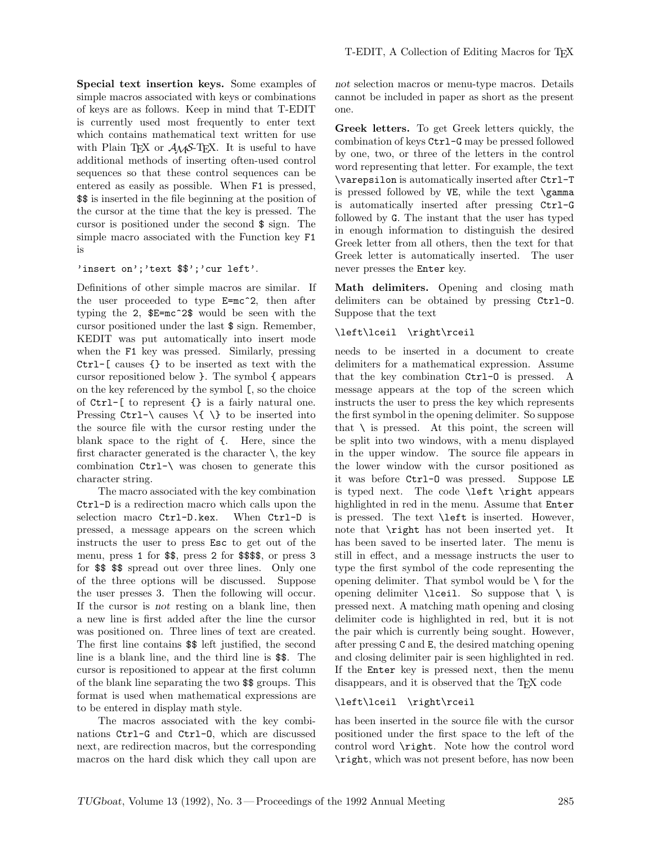**Special text insertion keys.** Some examples of simple macros associated with keys or combinations of keys are as follows. Keep in mind that T-EDIT is currently used most frequently to enter text which contains mathematical text written for use with Plain T<sub>EX</sub> or  $A_M S$ -T<sub>EX</sub>. It is useful to have additional methods of inserting often-used control sequences so that these control sequences can be entered as easily as possible. When F1 is pressed, \$\$ is inserted in the file beginning at the position of the cursor at the time that the key is pressed. The cursor is positioned under the second \$ sign. The simple macro associated with the Function key F1 is

#### 'insert on';'text \$\$';'cur left'.

Definitions of other simple macros are similar. If the user proceeded to type E=mc^2, then after typing the 2, \$E=mc^2\$ would be seen with the cursor positioned under the last \$ sign. Remember, KEDIT was put automatically into insert mode when the F1 key was pressed. Similarly, pressing Ctrl-[ causes {} to be inserted as text with the cursor repositioned below }. The symbol { appears on the key referenced by the symbol [, so the choice of Ctrl-[ to represent {} is a fairly natural one. Pressing  $Ctrl-\$  causes  $\{\ \}$  to be inserted into the source file with the cursor resting under the blank space to the right of {. Here, since the first character generated is the character  $\setminus$ , the key combination  $Ctrl$  was chosen to generate this character string.

The macro associated with the key combination Ctrl-D is a redirection macro which calls upon the selection macro Ctrl-D.kex. When Ctrl-D is pressed, a message appears on the screen which instructs the user to press Esc to get out of the menu, press 1 for \$\$, press 2 for \$\$\$\$, or press 3 for \$\$ \$\$ spread out over three lines. Only one of the three options will be discussed. Suppose the user presses 3. Then the following will occur. If the cursor is *not* resting on a blank line, then a new line is first added after the line the cursor was positioned on. Three lines of text are created. The first line contains \$\$ left justified, the second line is a blank line, and the third line is \$\$. The cursor is repositioned to appear at the first column of the blank line separating the two \$\$ groups. This format is used when mathematical expressions are to be entered in display math style.

The macros associated with the key combinations Ctrl-G and Ctrl-O, which are discussed next, are redirection macros, but the corresponding macros on the hard disk which they call upon are

*not* selection macros or menu-type macros. Details cannot be included in paper as short as the present one.

**Greek letters.** To get Greek letters quickly, the combination of keys Ctrl-G may be pressed followed by one, two, or three of the letters in the control word representing that letter. For example, the text \varepsilon is automatically inserted after Ctrl-T is pressed followed by VE, while the text \gamma is automatically inserted after pressing Ctrl-G followed by G. The instant that the user has typed in enough information to distinguish the desired Greek letter from all others, then the text for that Greek letter is automatically inserted. The user never presses the Enter key.

**Math delimiters.** Opening and closing math delimiters can be obtained by pressing Ctrl-O. Suppose that the text

#### \left\lceil \right\rceil

needs to be inserted in a document to create delimiters for a mathematical expression. Assume that the key combination Ctrl-O is pressed. A message appears at the top of the screen which instructs the user to press the key which represents the first symbol in the opening delimiter. So suppose that  $\setminus$  is pressed. At this point, the screen will be split into two windows, with a menu displayed in the upper window. The source file appears in the lower window with the cursor positioned as it was before Ctrl-O was pressed. Suppose LE is typed next. The code \left \right appears highlighted in red in the menu. Assume that Enter is pressed. The text \left is inserted. However, note that \right has not been inserted yet. It has been saved to be inserted later. The menu is still in effect, and a message instructs the user to type the first symbol of the code representing the opening delimiter. That symbol would be  $\setminus$  for the opening delimiter  $\text{Iceil}$ . So suppose that  $\text{I}$  is pressed next. A matching math opening and closing delimiter code is highlighted in red, but it is not the pair which is currently being sought. However, after pressing C and E, the desired matching opening and closing delimiter pair is seen highlighted in red. If the Enter key is pressed next, then the menu disappears, and it is observed that the T<sub>EX</sub> code

#### \left\lceil \right\rceil

has been inserted in the source file with the cursor positioned under the first space to the left of the control word \right. Note how the control word \right, which was not present before, has now been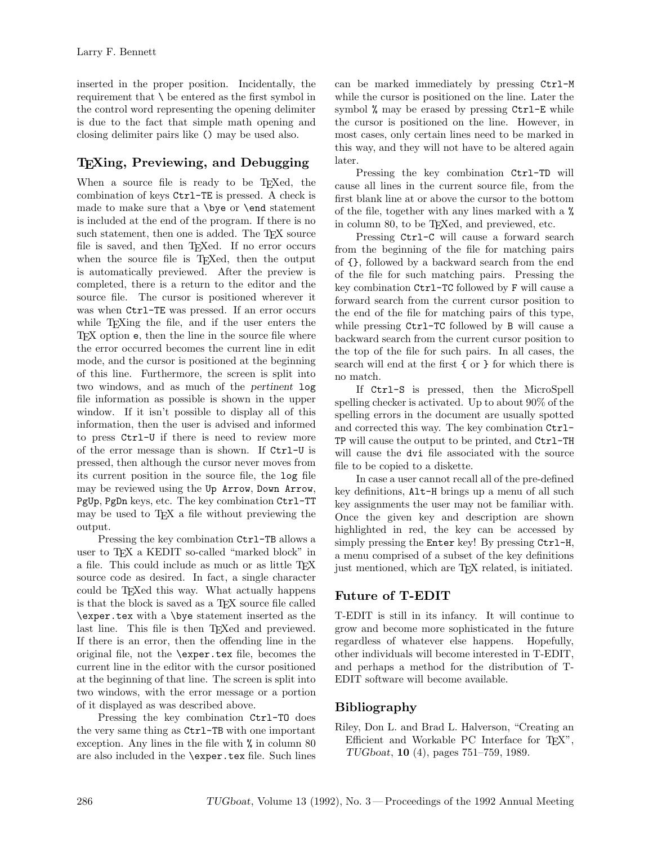inserted in the proper position. Incidentally, the requirement that \ be entered as the first symbol in the control word representing the opening delimiter is due to the fact that simple math opening and closing delimiter pairs like () may be used also.

# **TEXing, Previewing, and Debugging**

When a source file is ready to be T<sub>E</sub>Xed, the combination of keys Ctrl-TE is pressed. A check is made to make sure that a \bye or \end statement is included at the end of the program. If there is no such statement, then one is added. The T<sub>E</sub>X source file is saved, and then TEXed. If no error occurs when the source file is T<sub>E</sub>Xed, then the output is automatically previewed. After the preview is completed, there is a return to the editor and the source file. The cursor is positioned wherever it was when Ctrl-TE was pressed. If an error occurs while T<sub>E</sub>Xing the file, and if the user enters the TEX option e, then the line in the source file where the error occurred becomes the current line in edit mode, and the cursor is positioned at the beginning of this line. Furthermore, the screen is split into two windows, and as much of the *pertinent* log file information as possible is shown in the upper window. If it isn't possible to display all of this information, then the user is advised and informed to press Ctrl-U if there is need to review more of the error message than is shown. If Ctrl-U is pressed, then although the cursor never moves from its current position in the source file, the log file may be reviewed using the Up Arrow, Down Arrow, PgUp, PgDn keys, etc. The key combination Ctrl-TT may be used to  $T_F X$  a file without previewing the output.

Pressing the key combination Ctrl-TB allows a user to T<sub>E</sub>X a KEDIT so-called "marked block" in a file. This could include as much or as little T<sub>EX</sub> source code as desired. In fact, a single character could be TEXed this way. What actually happens is that the block is saved as a T<sub>E</sub>X source file called \exper.tex with a \bye statement inserted as the last line. This file is then T<sub>EX</sub>ed and previewed. If there is an error, then the offending line in the original file, not the \exper.tex file, becomes the current line in the editor with the cursor positioned at the beginning of that line. The screen is split into two windows, with the error message or a portion of it displayed as was described above.

Pressing the key combination Ctrl-TO does the very same thing as Ctrl-TB with one important exception. Any lines in the file with % in column 80 are also included in the \exper.tex file. Such lines can be marked immediately by pressing Ctrl-M while the cursor is positioned on the line. Later the symbol % may be erased by pressing Ctrl-E while the cursor is positioned on the line. However, in most cases, only certain lines need to be marked in this way, and they will not have to be altered again later.

Pressing the key combination Ctrl-TD will cause all lines in the current source file, from the first blank line at or above the cursor to the bottom of the file, together with any lines marked with a % in column 80, to be TEXed, and previewed, etc.

Pressing Ctrl-C will cause a forward search from the beginning of the file for matching pairs of {}, followed by a backward search from the end of the file for such matching pairs. Pressing the key combination Ctrl-TC followed by F will cause a forward search from the current cursor position to the end of the file for matching pairs of this type, while pressing Ctrl-TC followed by B will cause a backward search from the current cursor position to the top of the file for such pairs. In all cases, the search will end at the first { or } for which there is no match.

If Ctrl-S is pressed, then the MicroSpell spelling checker is activated. Up to about 90% of the spelling errors in the document are usually spotted and corrected this way. The key combination Ctrl-TP will cause the output to be printed, and Ctrl-TH will cause the dvi file associated with the source file to be copied to a diskette.

In case a user cannot recall all of the pre-defined key definitions, Alt-H brings up a menu of all such key assignments the user may not be familiar with. Once the given key and description are shown highlighted in red, the key can be accessed by simply pressing the Enter key! By pressing Ctrl-H, a menu comprised of a subset of the key definitions just mentioned, which are TEX related, is initiated.

# **Future of T-EDIT**

T-EDIT is still in its infancy. It will continue to grow and become more sophisticated in the future regardless of whatever else happens. Hopefully, other individuals will become interested in T-EDIT, and perhaps a method for the distribution of T-EDIT software will become available.

# **Bibliography**

Riley, Don L. and Brad L. Halverson, "Creating an Efficient and Workable PC Interface for TFX", *TUGboat*, **10** (4), pages 751–759, 1989.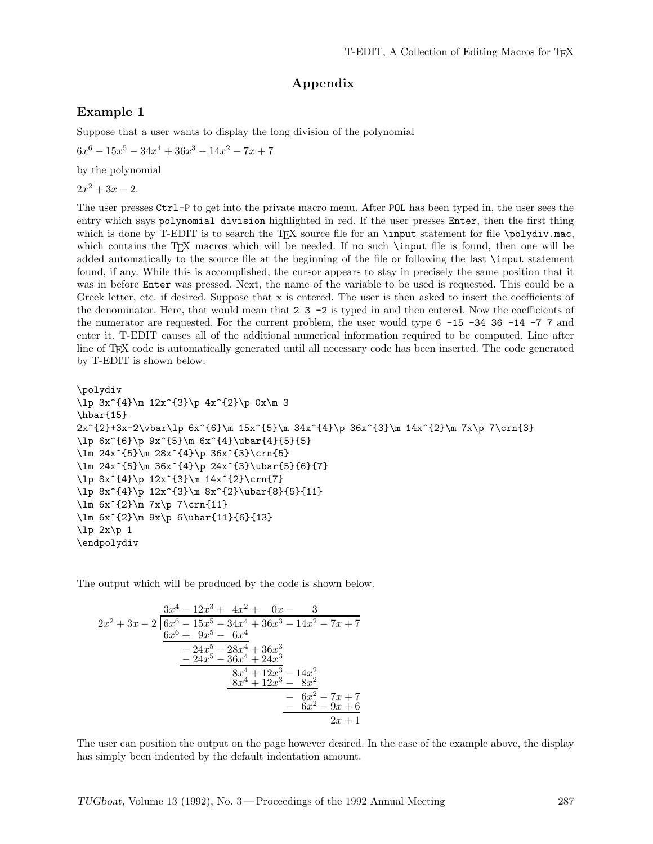### **Appendix**

### **Example 1**

Suppose that a user wants to display the long division of the polynomial

 $6x^6 - 15x^5 - 34x^4 + 36x^3 - 14x^2 - 7x + 7$ 

by the polynomial

 $2x^2 + 3x - 2$ .

The user presses Ctrl-P to get into the private macro menu. After POL has been typed in, the user sees the entry which says polynomial division highlighted in red. If the user presses Enter, then the first thing which is done by T-EDIT is to search the T<sub>E</sub>X source file for an \input statement for file \polydiv.mac, which contains the T<sub>E</sub>X macros which will be needed. If no such *\input file is found*, then one will be added automatically to the source file at the beginning of the file or following the last \input statement found, if any. While this is accomplished, the cursor appears to stay in precisely the same position that it was in before Enter was pressed. Next, the name of the variable to be used is requested. This could be a Greek letter, etc. if desired. Suppose that x is entered. The user is then asked to insert the coefficients of the denominator. Here, that would mean that  $2 \times 3$  -2 is typed in and then entered. Now the coefficients of the numerator are requested. For the current problem, the user would type 6 -15 -34 36 -14 -7 7 and enter it. T-EDIT causes all of the additional numerical information required to be computed. Line after line of T<sub>EX</sub> code is automatically generated until all necessary code has been inserted. The code generated by T-EDIT is shown below.

```
\polydiv
\lp 3x^{4}\m 12x^{3}\p 4x^{2}\p 0x\m 3
\hbar{15}
2x^{\{2\+3x-2\vbar\ln 6x^{\{6\}}\n 15x^{\{5\}}\n 34x^{\{4\}}p 36x^{\{3\}}\n 14x^{\{2\}}\n 7\cr13}\ln 6x^{\{6\}}p 9x^{\{5\}}m 6x^{\{4\}}ubar{\{4\}}{5}{5}\lm 24x^{5}\m 28x^{4}\p 36x^{3}\crn{5}
\lm 24x^{5}\m 36x^{4}\p 24x^{3}\ubar{5}{6}{7}
\lp 8x^{4}\p 12x^{3}\m 14x^{2}\crn{7}
\lp 8x^{4}\p 12x^{3}\m 8x^{2}\ubar{8}{5}{11}
\lim 6x^{2}\m 7x\p 7\crn{11}
\lm 6x^{2} \m 9x\p 6\ubar{11}{6}{13}\lceil \lg 2x \rceil 1
\endpolydiv
```
The output which will be produced by the code is shown below.

$$
2x^{2} + 3x - 2\left[\frac{3x^{4} - 12x^{3} + 4x^{2} + 0x - 3}{6x^{6} - 15x^{5} - 34x^{4} + 36x^{3} - 14x^{2} - 7x + 7}\frac{6x^{6} + 9x^{5} - 6x^{4}}{-24x^{5} - 28x^{4} + 36x^{3}} -24x^{5} - 36x^{4} + 24x^{3}\n \qquad\n \underbrace{8x^{4} + 12x^{3} - 14x^{2}}_{8x^{4} + 12x^{3} - 8x^{2}} -6x^{2} - 7x + 7\n \qquad -6x^{2} - 9x + 6\n \qquad \qquad 2x + 1
$$

The user can position the output on the page however desired. In the case of the example above, the display has simply been indented by the default indentation amount.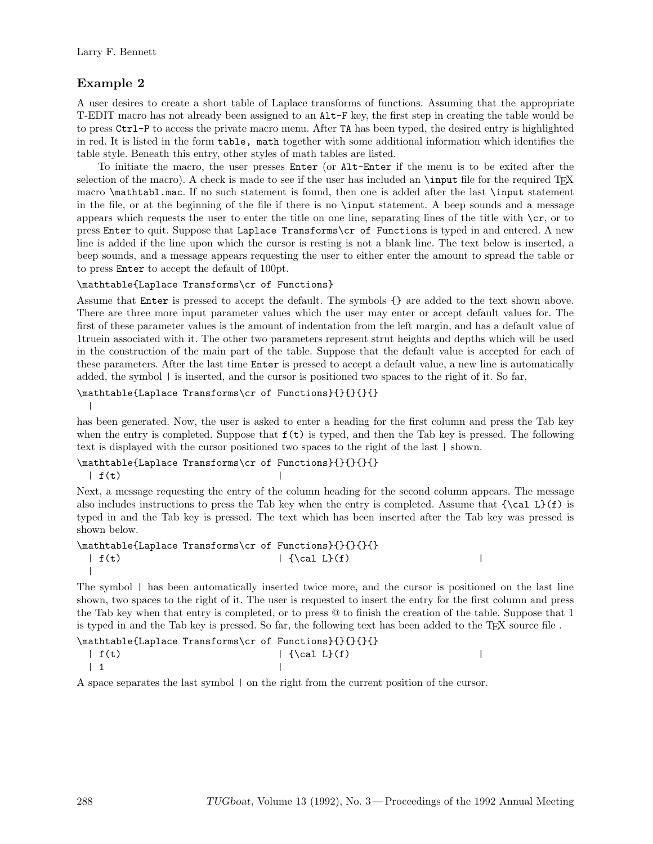## **Example 2**

A user desires to create a short table of Laplace transforms of functions. Assuming that the appropriate T-EDIT macro has not already been assigned to an Alt-F key, the first step in creating the table would be to press Ctrl-P to access the private macro menu. After TA has been typed, the desired entry is highlighted in red. It is listed in the form table, math together with some additional information which identifies the table style. Beneath this entry, other styles of math tables are listed.

To initiate the macro, the user presses Enter (or Alt-Enter if the menu is to be exited after the selection of the macro). A check is made to see if the user has included an **\input** file for the required TFX macro \mathtabl.mac. If no such statement is found, then one is added after the last \input statement in the file, or at the beginning of the file if there is no \input statement. A beep sounds and a message appears which requests the user to enter the title on one line, separating lines of the title with  $\csc$ , or to press Enter to quit. Suppose that Laplace Transforms\cr of Functions is typed in and entered. A new line is added if the line upon which the cursor is resting is not a blank line. The text below is inserted, a beep sounds, and a message appears requesting the user to either enter the amount to spread the table or to press Enter to accept the default of 100pt.

\mathtable{Laplace Transforms\cr of Functions}

Assume that Enter is pressed to accept the default. The symbols {} are added to the text shown above. There are three more input parameter values which the user may enter or accept default values for. The first of these parameter values is the amount of indentation from the left margin, and has a default value of 1truein associated with it. The other two parameters represent strut heights and depths which will be used in the construction of the main part of the table. Suppose that the default value is accepted for each of these parameters. After the last time Enter is pressed to accept a default value, a new line is automatically added, the symbol | is inserted, and the cursor is positioned two spaces to the right of it. So far,

## \mathtable{Laplace Transforms\cr of Functions}{}{}{}{}

|

has been generated. Now, the user is asked to enter a heading for the first column and press the Tab key when the entry is completed. Suppose that  $f(t)$  is typed, and then the Tab key is pressed. The following text is displayed with the cursor positioned two spaces to the right of the last | shown.

## \mathtable{Laplace Transforms\cr of Functions}{}{}{}{}

 $| f(t)$ 

Next, a message requesting the entry of the column heading for the second column appears. The message also includes instructions to press the Tab key when the entry is completed. Assume that  ${\cal \cal L}(f)$  is typed in and the Tab key is pressed. The text which has been inserted after the Tab key was pressed is shown below.

\mathtable{Laplace Transforms\cr of Functions}{}{}{}{}  $| f(t) |$   $| \{\cal L}(f)$ |

The symbol | has been automatically inserted twice more, and the cursor is positioned on the last line shown, two spaces to the right of it. The user is requested to insert the entry for the first column and press the Tab key when that entry is completed, or to press @ to finish the creation of the table. Suppose that 1 is typed in and the Tab key is pressed. So far, the following text has been added to the TEX source file .

| \mathtable{Laplace Transforms\cr of Functions}{}{}{}{}                                               |                          |  |
|------------------------------------------------------------------------------------------------------|--------------------------|--|
| $\int f(t)$                                                                                          | $\vert \$ {\cal L} $(f)$ |  |
| $\begin{array}{array}{\array{\small\textbf{1}}\\{\small \textbf{1}}\\{\small \textbf{1}}\end{array}$ |                          |  |

A space separates the last symbol | on the right from the current position of the cursor.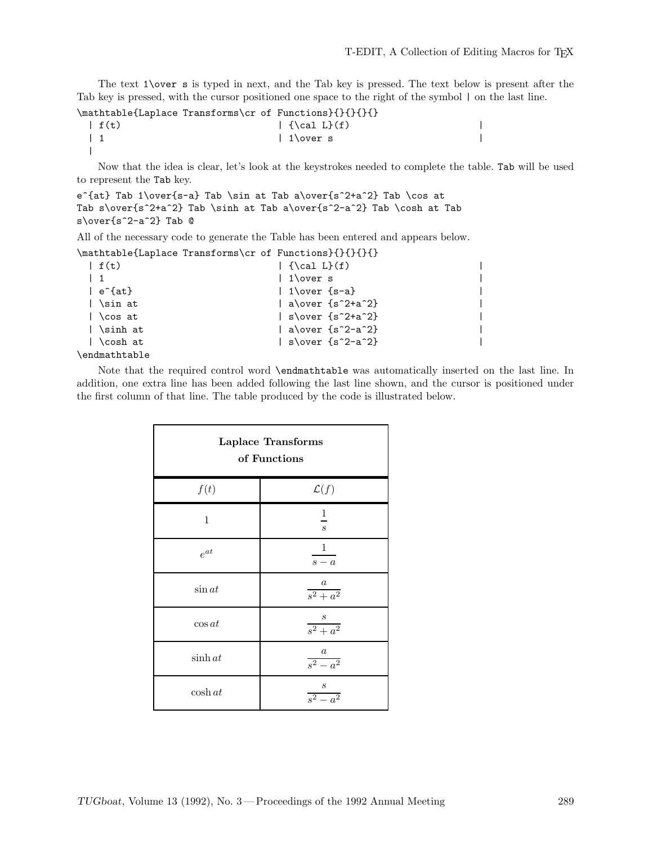The text 1\over s is typed in next, and the Tab key is pressed. The text below is present after the Tab key is pressed, with the cursor positioned one space to the right of the symbol | on the last line.

|                                                    | \mathtable{Laplace Transforms\cr of Functions}{}{}{}{} |  |
|----------------------------------------------------|--------------------------------------------------------|--|
| $\left  \begin{array}{c} f(t) \end{array} \right $ | $\vert$ {\cal L} $(f)$                                 |  |
|                                                    | $\perp$ 1\over s                                       |  |
|                                                    |                                                        |  |

Now that the idea is clear, let's look at the keystrokes needed to complete the table. Tab will be used to represent the Tab key.

```
e^{at} Tab 1\over{s-a} Tab \sin at Tab a\over{s^2+a^2} Tab \cos at
Tab s\over{s^2+a^2} Tab \sinh at Tab a\over{s^2-a^2} Tab \cosh at Tab
s\over{s^2-a^2} Tab @
```
All of the necessary code to generate the Table has been entered and appears below.

|  |  | \mathtable{Laplace Transforms\cr of Functions}{}{}{}{} |
|--|--|--------------------------------------------------------|
|--|--|--------------------------------------------------------|

| $\int f(t)$      | $\left\{ \cal \tilde L\} (f) \right\}$ |  |
|------------------|----------------------------------------|--|
| $\vert$ 1        | $\vert$ 1\over s                       |  |
| ∣ e^{at}         | $\vert$ 1\over $\{s-a\}$               |  |
| │ \sin at        | al\over {s^2+a^2}                      |  |
| $\bigcup$ cos at | $ $ s\over $\{s^2+a^2\}$               |  |
| ∣ \sinh at       | l alover fs^2-a^2}                     |  |
| l \cosh at       | $ $ s\over $\{s^2-a^2\}$               |  |
| .                |                                        |  |

\endmathtable

Note that the required control word \endmathtable was automatically inserted on the last line. In addition, one extra line has been added following the last line shown, and the cursor is positioned under the first column of that line. The table produced by the code is illustrated below.

| Laplace Transforms<br>of Functions |                                    |  |
|------------------------------------|------------------------------------|--|
| f(t)                               | $\mathcal{L}(f)$                   |  |
| $\mathbf{1}$                       | $\overline{1}$<br>$\boldsymbol{s}$ |  |
| $e^{at}$                           | $\mathbf{1}$<br>$s - a$            |  |
| $\sin at$                          | $\frac{a}{s^2 + a^2}$              |  |
| $\cos at$                          | $\frac{s}{s^2 + a^2}$              |  |
| $\sinh at$                         | $\frac{a}{s^2-a^2}$                |  |
| $\cosh at$                         | $\frac{s}{s^2-a^2}$                |  |